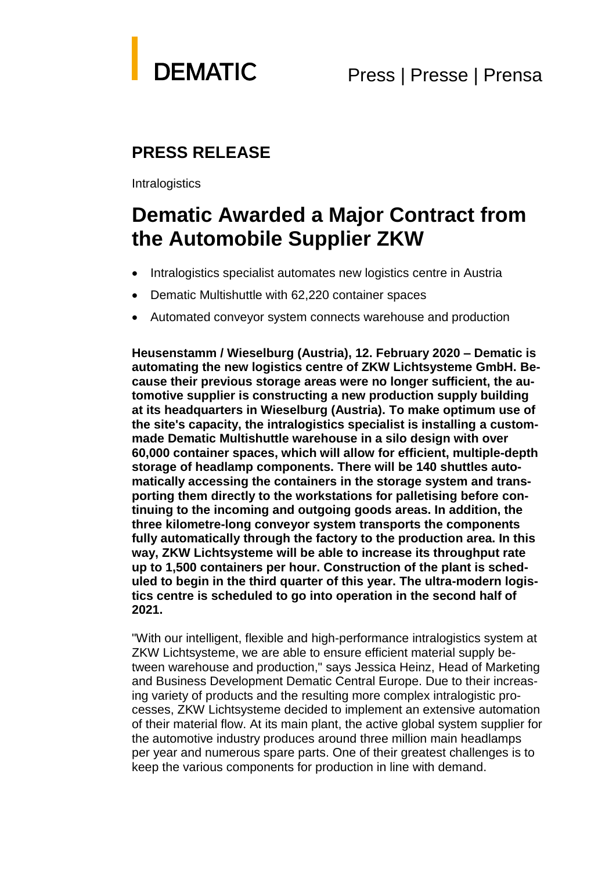

## **PRESS RELEASE**

**Intralogistics** 

# **Dematic Awarded a Major Contract from the Automobile Supplier ZKW**

- Intralogistics specialist automates new logistics centre in Austria
- Dematic Multishuttle with 62,220 container spaces
- Automated conveyor system connects warehouse and production

**Heusenstamm / Wieselburg (Austria), 12. February 2020 – Dematic is automating the new logistics centre of ZKW Lichtsysteme GmbH. Because their previous storage areas were no longer sufficient, the automotive supplier is constructing a new production supply building at its headquarters in Wieselburg (Austria). To make optimum use of the site's capacity, the intralogistics specialist is installing a custommade Dematic Multishuttle warehouse in a silo design with over 60,000 container spaces, which will allow for efficient, multiple-depth storage of headlamp components. There will be 140 shuttles automatically accessing the containers in the storage system and transporting them directly to the workstations for palletising before continuing to the incoming and outgoing goods areas. In addition, the three kilometre-long conveyor system transports the components fully automatically through the factory to the production area. In this way, ZKW Lichtsysteme will be able to increase its throughput rate up to 1,500 containers per hour. Construction of the plant is scheduled to begin in the third quarter of this year. The ultra-modern logistics centre is scheduled to go into operation in the second half of 2021.**

"With our intelligent, flexible and high-performance intralogistics system at ZKW Lichtsysteme, we are able to ensure efficient material supply between warehouse and production," says Jessica Heinz, Head of Marketing and Business Development Dematic Central Europe. Due to their increasing variety of products and the resulting more complex intralogistic processes, ZKW Lichtsysteme decided to implement an extensive automation of their material flow. At its main plant, the active global system supplier for the automotive industry produces around three million main headlamps per year and numerous spare parts. One of their greatest challenges is to keep the various components for production in line with demand.